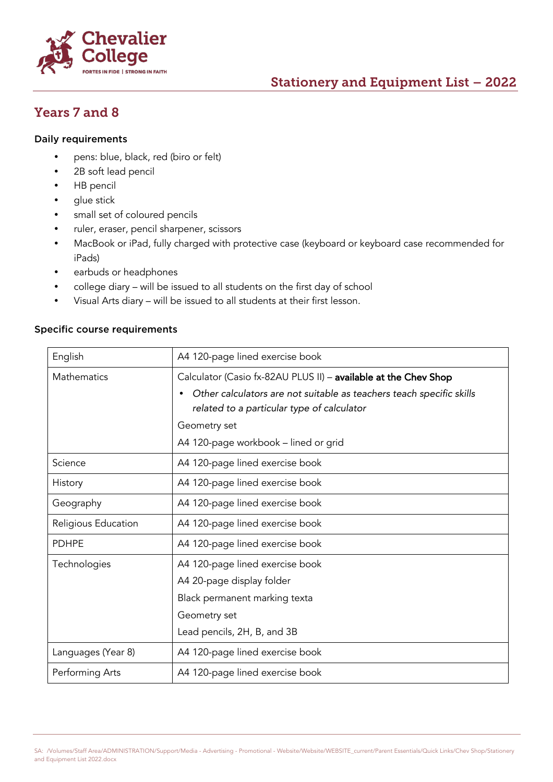

# Stationery and Equipment List – 2022

## Years 7 and 8

#### Daily requirements

- pens: blue, black, red (biro or felt)
- 2B soft lead pencil
- HB pencil
- glue stick
- small set of coloured pencils
- ruler, eraser, pencil sharpener, scissors
- MacBook or iPad, fully charged with protective case (keyboard or keyboard case recommended for iPads)
- earbuds or headphones
- college diary will be issued to all students on the first day of school
- Visual Arts diary will be issued to all students at their first lesson.

#### Specific course requirements

| English             | A4 120-page lined exercise book                                                   |  |
|---------------------|-----------------------------------------------------------------------------------|--|
| <b>Mathematics</b>  | Calculator (Casio fx-82AU PLUS II) - available at the Chev Shop                   |  |
|                     | Other calculators are not suitable as teachers teach specific skills<br>$\bullet$ |  |
|                     | related to a particular type of calculator                                        |  |
|                     | Geometry set                                                                      |  |
|                     | A4 120-page workbook – lined or grid                                              |  |
| Science             | A4 120-page lined exercise book                                                   |  |
| History             | A4 120-page lined exercise book                                                   |  |
| Geography           | A4 120-page lined exercise book                                                   |  |
| Religious Education | A4 120-page lined exercise book                                                   |  |
| <b>PDHPE</b>        | A4 120-page lined exercise book                                                   |  |
| Technologies        | A4 120-page lined exercise book                                                   |  |
|                     | A4 20-page display folder                                                         |  |
|                     | Black permanent marking texta                                                     |  |
|                     | Geometry set                                                                      |  |
|                     | Lead pencils, 2H, B, and 3B                                                       |  |
| Languages (Year 8)  | A4 120-page lined exercise book                                                   |  |
| Performing Arts     | A4 120-page lined exercise book                                                   |  |